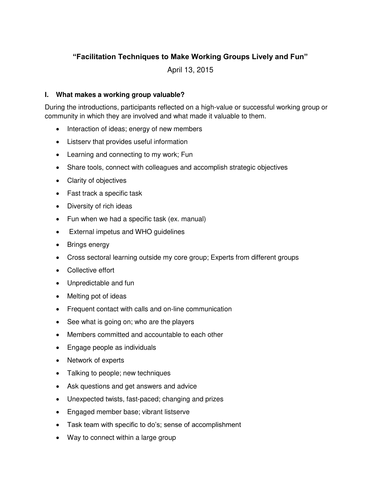# **"Facilitation Techniques to Make Working Groups Lively and Fun"**

April 13, 2015

#### **I. What makes a working group valuable?**

During the introductions, participants reflected on a high-value or successful working group or community in which they are involved and what made it valuable to them.

- Interaction of ideas; energy of new members
- Listserv that provides useful information
- Learning and connecting to my work; Fun
- Share tools, connect with colleagues and accomplish strategic objectives
- Clarity of objectives
- Fast track a specific task
- Diversity of rich ideas
- Fun when we had a specific task (ex. manual)
- External impetus and WHO guidelines
- Brings energy
- Cross sectoral learning outside my core group; Experts from different groups
- Collective effort
- Unpredictable and fun
- Melting pot of ideas
- Frequent contact with calls and on-line communication
- See what is going on; who are the players
- Members committed and accountable to each other
- Engage people as individuals
- Network of experts
- Talking to people; new techniques
- Ask questions and get answers and advice
- Unexpected twists, fast-paced; changing and prizes
- Engaged member base; vibrant listserve
- Task team with specific to do's; sense of accomplishment
- Way to connect within a large group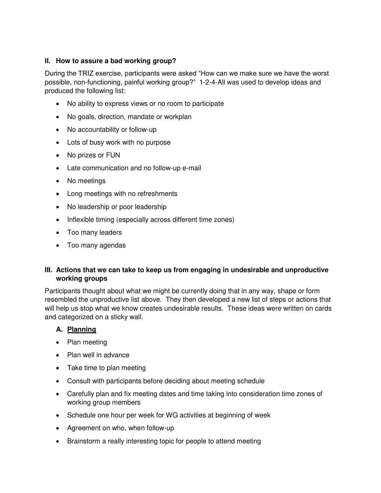#### **II. How to assure a bad working group?**

During the TRIZ exercise, participants were asked "How can we make sure we have the worst possible, non-functioning, painful working group?" 1-2-4-All was used to develop ideas and produced the following list:

- No ability to express views or no room to participate
- No goals, direction, mandate or workplan
- No accountability or follow-up
- Lots of busy work with no purpose
- No prizes or FUN
- Late communication and no follow-up e-mail
- No meetings
- Long meetings with no refreshments
- No leadership or poor leadership
- Inflexible timing (especially across different time zones)
- Too many leaders
- Too many agendas

### **III. Actions that we can take to keep us from engaging in undesirable and unproductive working groups**

Participants thought about what we might be currently doing that in any way, shape or form resembled the unproductive list above. They then developed a new list of steps or actions that will help us stop what we know creates undesirable results. These ideas were written on cards and categorized on a sticky wall.

#### **A. Planning**

- Plan meeting
- Plan well in advance
- Take time to plan meeting
- Consult with participants before deciding about meeting schedule
- Carefully plan and fix meeting dates and time taking into consideration time zones of working group members
- Schedule one hour per week for WG activities at beginning of week
- Agreement on who, when follow-up
- Brainstorm a really interesting topic for people to attend meeting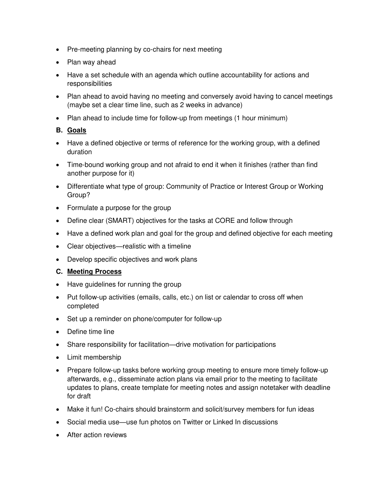- Pre-meeting planning by co-chairs for next meeting
- Plan way ahead
- Have a set schedule with an agenda which outline accountability for actions and responsibilities
- Plan ahead to avoid having no meeting and conversely avoid having to cancel meetings (maybe set a clear time line, such as 2 weeks in advance)
- Plan ahead to include time for follow-up from meetings (1 hour minimum)

# **B. Goals**

- Have a defined objective or terms of reference for the working group, with a defined duration
- Time-bound working group and not afraid to end it when it finishes (rather than find another purpose for it)
- Differentiate what type of group: Community of Practice or Interest Group or Working Group?
- Formulate a purpose for the group
- Define clear (SMART) objectives for the tasks at CORE and follow through
- Have a defined work plan and goal for the group and defined objective for each meeting
- Clear objectives—realistic with a timeline
- Develop specific objectives and work plans

# **C. Meeting Process**

- Have guidelines for running the group
- Put follow-up activities (emails, calls, etc.) on list or calendar to cross off when completed
- Set up a reminder on phone/computer for follow-up
- Define time line
- Share responsibility for facilitation—drive motivation for participations
- Limit membership
- Prepare follow-up tasks before working group meeting to ensure more timely follow-up afterwards, e.g., disseminate action plans via email prior to the meeting to facilitate updates to plans, create template for meeting notes and assign notetaker with deadline for draft
- Make it fun! Co-chairs should brainstorm and solicit/survey members for fun ideas
- Social media use—use fun photos on Twitter or Linked In discussions
- After action reviews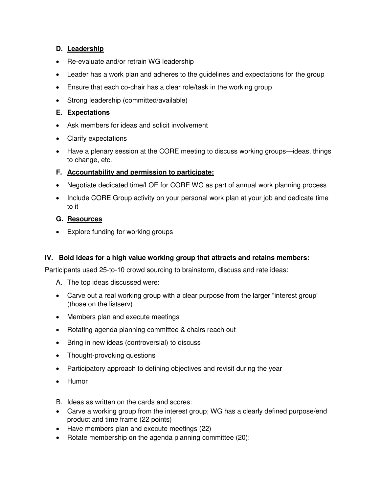# **D. Leadership**

- Re-evaluate and/or retrain WG leadership
- Leader has a work plan and adheres to the guidelines and expectations for the group
- Ensure that each co-chair has a clear role/task in the working group
- Strong leadership (committed/available)

## **E. Expectations**

- Ask members for ideas and solicit involvement
- Clarify expectations
- Have a plenary session at the CORE meeting to discuss working groups—ideas, things to change, etc.

### **F. Accountability and permission to participate:**

- Negotiate dedicated time/LOE for CORE WG as part of annual work planning process
- Include CORE Group activity on your personal work plan at your job and dedicate time to it

# **G. Resources**

• Explore funding for working groups

### **IV. Bold ideas for a high value working group that attracts and retains members:**

Participants used 25-to-10 crowd sourcing to brainstorm, discuss and rate ideas:

- A. The top ideas discussed were:
- Carve out a real working group with a clear purpose from the larger "interest group" (those on the listserv)
- Members plan and execute meetings
- Rotating agenda planning committee & chairs reach out
- Bring in new ideas (controversial) to discuss
- Thought-provoking questions
- Participatory approach to defining objectives and revisit during the year
- Humor

B. Ideas as written on the cards and scores:

- Carve a working group from the interest group; WG has a clearly defined purpose/end product and time frame (22 points)
- Have members plan and execute meetings (22)
- Rotate membership on the agenda planning committee (20):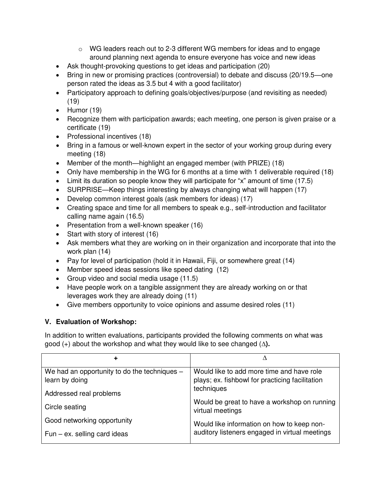- $\circ$  WG leaders reach out to 2-3 different WG members for ideas and to engage around planning next agenda to ensure everyone has voice and new ideas
- Ask thought-provoking questions to get ideas and participation (20)
- Bring in new or promising practices (controversial) to debate and discuss (20/19.5—one person rated the ideas as 3.5 but 4 with a good facilitator)
- Participatory approach to defining goals/objectives/purpose (and revisiting as needed) (19)
- $\bullet$  Humor (19)
- Recognize them with participation awards; each meeting, one person is given praise or a certificate (19)
- Professional incentives (18)
- Bring in a famous or well-known expert in the sector of your working group during every meeting (18)
- Member of the month—highlight an engaged member (with PRIZE) (18)
- Only have membership in the WG for 6 months at a time with 1 deliverable required (18)
- Limit its duration so people know they will participate for "x" amount of time (17.5)
- SURPRISE—Keep things interesting by always changing what will happen (17)
- Develop common interest goals (ask members for ideas) (17)
- Creating space and time for all members to speak e.g., self-introduction and facilitator calling name again (16.5)
- Presentation from a well-known speaker (16)
- Start with story of interest (16)
- Ask members what they are working on in their organization and incorporate that into the work plan (14)
- Pay for level of participation (hold it in Hawaii, Fiji, or somewhere great  $(14)$ )
- Member speed ideas sessions like speed dating (12)
- Group video and social media usage (11.5)
- Have people work on a tangible assignment they are already working on or that leverages work they are already doing (11)
- Give members opportunity to voice opinions and assume desired roles (11)

# **V. Evaluation of Workshop:**

In addition to written evaluations, participants provided the following comments on what was good (+) about the workshop and what they would like to see changed (**∆).**

| ٠                                            |                                                                  |
|----------------------------------------------|------------------------------------------------------------------|
| We had an opportunity to do the techniques - | Would like to add more time and have role                        |
| learn by doing                               | plays; ex. fishbowl for practicing facilitation                  |
| Addressed real problems                      | techniques                                                       |
| Circle seating                               | Would be great to have a workshop on running<br>virtual meetings |
| Good networking opportunity                  | Would like information on how to keep non-                       |
| Fun $-$ ex. selling card ideas               | auditory listeners engaged in virtual meetings                   |